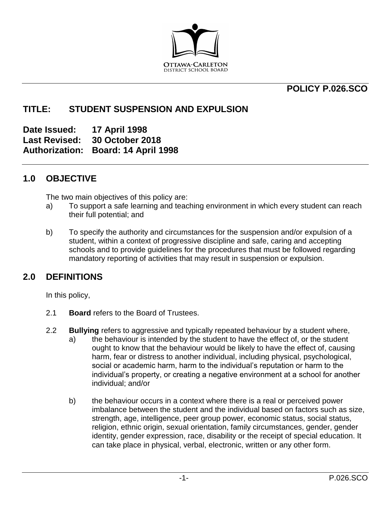

# **POLICY P.026.SCO**

# **TITLE: STUDENT SUSPENSION AND EXPULSION**

**Date Issued: 17 April 1998 Last Revised: 30 October 2018 Authorization: Board: 14 April 1998**

# **1.0 OBJECTIVE**

The two main objectives of this policy are:

- a) To support a safe learning and teaching environment in which every student can reach their full potential; and
- b) To specify the authority and circumstances for the suspension and/or expulsion of a student, within a context of progressive discipline and safe, caring and accepting schools and to provide guidelines for the procedures that must be followed regarding mandatory reporting of activities that may result in suspension or expulsion.

# **2.0 DEFINITIONS**

In this policy,

- 2.1 **Board** refers to the Board of Trustees.
- 2.2 **Bullying** refers to aggressive and typically repeated behaviour by a student where,
	- a) the behaviour is intended by the student to have the effect of, or the student ought to know that the behaviour would be likely to have the effect of, causing harm, fear or distress to another individual, including physical, psychological, social or academic harm, harm to the individual's reputation or harm to the individual's property, or creating a negative environment at a school for another individual; and/or
	- b) the behaviour occurs in a context where there is a real or perceived power imbalance between the student and the individual based on factors such as size, strength, age, intelligence, peer group power, economic status, social status, religion, ethnic origin, sexual orientation, family circumstances, gender, gender identity, gender expression, race, disability or the receipt of special education. It can take place in physical, verbal, electronic, written or any other form.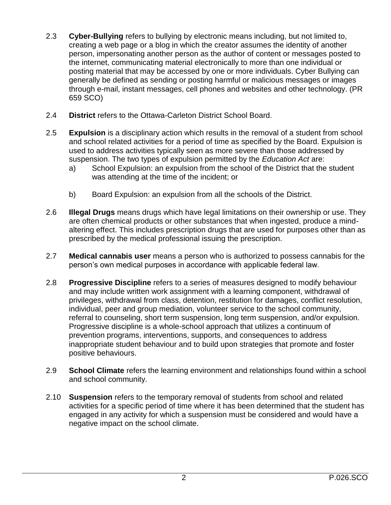- 2.3 **Cyber-Bullying** refers to bullying by electronic means including, but not limited to, creating a web page or a blog in which the creator assumes the identity of another person, impersonating another person as the author of content or messages posted to the internet, communicating material electronically to more than one individual or posting material that may be accessed by one or more individuals. Cyber Bullying can generally be defined as sending or posting harmful or malicious messages or images through e-mail, instant messages, cell phones and websites and other technology. (PR 659 SCO)
- 2.4 **District** refers to the Ottawa-Carleton District School Board.
- 2.5 **Expulsion** is a disciplinary action which results in the removal of a student from school and school related activities for a period of time as specified by the Board. Expulsion is used to address activities typically seen as more severe than those addressed by suspension. The two types of expulsion permitted by the *Education Act* are:
	- a) School Expulsion: an expulsion from the school of the District that the student was attending at the time of the incident; or
	- b) Board Expulsion: an expulsion from all the schools of the District.
- 2.6 **Illegal Drugs** means drugs which have legal limitations on their ownership or use. They are often chemical products or other substances that when ingested, produce a mindaltering effect. This includes prescription drugs that are used for purposes other than as prescribed by the medical professional issuing the prescription.
- 2.7 **Medical cannabis user** means a person who is authorized to possess cannabis for the person's own medical purposes in accordance with applicable federal law.
- 2.8 **Progressive Discipline** refers to a series of measures designed to modify behaviour and may include written work assignment with a learning component, withdrawal of privileges, withdrawal from class, detention, restitution for damages, conflict resolution, individual, peer and group mediation, volunteer service to the school community, referral to counseling, short term suspension, long term suspension, and/or expulsion. Progressive discipline is a whole-school approach that utilizes a continuum of prevention programs, interventions, supports, and consequences to address inappropriate student behaviour and to build upon strategies that promote and foster positive behaviours.
- 2.9 **School Climate** refers the learning environment and relationships found within a school and school community.
- 2.10 **Suspension** refers to the temporary removal of students from school and related activities for a specific period of time where it has been determined that the student has engaged in any activity for which a suspension must be considered and would have a negative impact on the school climate.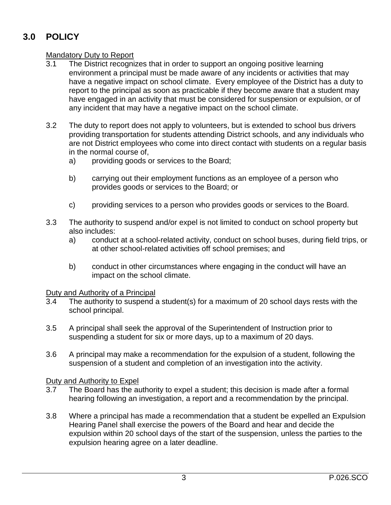# **3.0 POLICY**

# **Mandatory Duty to Report**<br>3.1 The District recogni

- The District recognizes that in order to support an ongoing positive learning environment a principal must be made aware of any incidents or activities that may have a negative impact on school climate. Every employee of the District has a duty to report to the principal as soon as practicable if they become aware that a student may have engaged in an activity that must be considered for suspension or expulsion, or of any incident that may have a negative impact on the school climate.
- 3.2 The duty to report does not apply to volunteers, but is extended to school bus drivers providing transportation for students attending District schools, and any individuals who are not District employees who come into direct contact with students on a regular basis in the normal course of,
	- a) providing goods or services to the Board;
	- b) carrying out their employment functions as an employee of a person who provides goods or services to the Board; or
	- c) providing services to a person who provides goods or services to the Board.
- 3.3 The authority to suspend and/or expel is not limited to conduct on school property but also includes:
	- a) conduct at a school-related activity, conduct on school buses, during field trips, or at other school-related activities off school premises; and
	- b) conduct in other circumstances where engaging in the conduct will have an impact on the school climate.

#### Duty and Authority of a Principal

- 3.4 The authority to suspend a student(s) for a maximum of 20 school days rests with the school principal.
- 3.5 A principal shall seek the approval of the Superintendent of Instruction prior to suspending a student for six or more days, up to a maximum of 20 days.
- 3.6 A principal may make a recommendation for the expulsion of a student, following the suspension of a student and completion of an investigation into the activity.

#### Duty and Authority to Expel

- 3.7 The Board has the authority to expel a student; this decision is made after a formal hearing following an investigation, a report and a recommendation by the principal.
- 3.8 Where a principal has made a recommendation that a student be expelled an Expulsion Hearing Panel shall exercise the powers of the Board and hear and decide the expulsion within 20 school days of the start of the suspension, unless the parties to the expulsion hearing agree on a later deadline.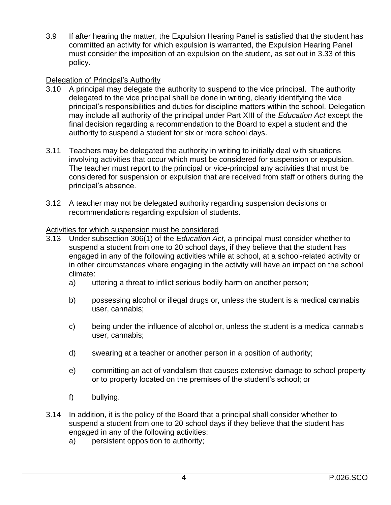3.9 If after hearing the matter, the Expulsion Hearing Panel is satisfied that the student has committed an activity for which expulsion is warranted, the Expulsion Hearing Panel must consider the imposition of an expulsion on the student, as set out in 3.33 of this policy.

## Delegation of Principal's Authority

- 3.10 A principal may delegate the authority to suspend to the vice principal. The authority delegated to the vice principal shall be done in writing, clearly identifying the vice principal's responsibilities and duties for discipline matters within the school. Delegation may include all authority of the principal under Part XIII of the *Education Act* except the final decision regarding a recommendation to the Board to expel a student and the authority to suspend a student for six or more school days.
- 3.11 Teachers may be delegated the authority in writing to initially deal with situations involving activities that occur which must be considered for suspension or expulsion. The teacher must report to the principal or vice-principal any activities that must be considered for suspension or expulsion that are received from staff or others during the principal's absence.
- 3.12 A teacher may not be delegated authority regarding suspension decisions or recommendations regarding expulsion of students.

#### Activities for which suspension must be considered

- 3.13 Under subsection 306(1) of the *Education Act*, a principal must consider whether to suspend a student from one to 20 school days, if they believe that the student has engaged in any of the following activities while at school, at a school-related activity or in other circumstances where engaging in the activity will have an impact on the school climate:
	- a) uttering a threat to inflict serious bodily harm on another person;
	- b) possessing alcohol or illegal drugs or, unless the student is a medical cannabis user, cannabis;
	- c) being under the influence of alcohol or, unless the student is a medical cannabis user, cannabis;
	- d) swearing at a teacher or another person in a position of authority;
	- e) committing an act of vandalism that causes extensive damage to school property or to property located on the premises of the student's school; or
	- f) bullying.
- 3.14 In addition, it is the policy of the Board that a principal shall consider whether to suspend a student from one to 20 school days if they believe that the student has engaged in any of the following activities:
	- a) persistent opposition to authority;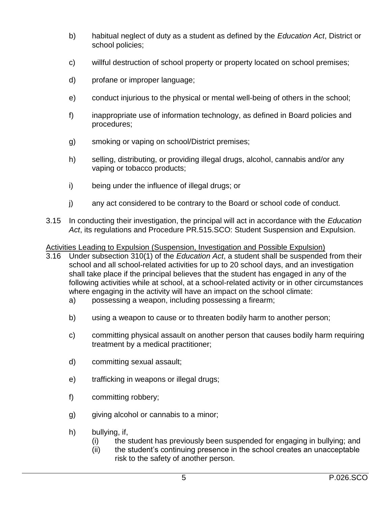- b) habitual neglect of duty as a student as defined by the *Education Act*, District or school policies;
- c) willful destruction of school property or property located on school premises;
- d) profane or improper language;
- e) conduct injurious to the physical or mental well-being of others in the school;
- f) inappropriate use of information technology, as defined in Board policies and procedures;
- g) smoking or vaping on school/District premises;
- h) selling, distributing, or providing illegal drugs, alcohol, cannabis and/or any vaping or tobacco products;
- i) being under the influence of illegal drugs; or
- j) any act considered to be contrary to the Board or school code of conduct.
- 3.15 In conducting their investigation, the principal will act in accordance with the *Education Act*, its regulations and Procedure PR.515.SCO: Student Suspension and Expulsion.

## Activities Leading to Expulsion (Suspension, Investigation and Possible Expulsion)

- 3.16 Under subsection 310(1) of the *Education Act*, a student shall be suspended from their school and all school-related activities for up to 20 school days, and an investigation shall take place if the principal believes that the student has engaged in any of the following activities while at school, at a school-related activity or in other circumstances where engaging in the activity will have an impact on the school climate:
	- a) possessing a weapon, including possessing a firearm;
	- b) using a weapon to cause or to threaten bodily harm to another person;
	- c) committing physical assault on another person that causes bodily harm requiring treatment by a medical practitioner;
	- d) committing sexual assault;
	- e) trafficking in weapons or illegal drugs;
	- f) committing robbery;
	- g) giving alcohol or cannabis to a minor;
	- h) bullying, if,
		- (i) the student has previously been suspended for engaging in bullying; and
		- (ii) the student's continuing presence in the school creates an unacceptable risk to the safety of another person.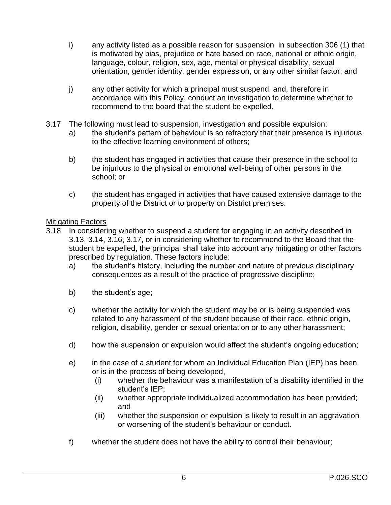- i) any activity listed as a possible reason for suspension in subsection 306 (1) that is motivated by bias, prejudice or hate based on race, national or ethnic origin, language, colour, religion, sex, age, mental or physical disability, sexual orientation, gender identity, gender expression, or any other similar factor; and
- j) any other activity for which a principal must suspend, and, therefore in accordance with this Policy, conduct an investigation to determine whether to recommend to the board that the student be expelled.
- 3.17 The following must lead to suspension, investigation and possible expulsion:
	- a) the student's pattern of behaviour is so refractory that their presence is injurious to the effective learning environment of others;
	- b) the student has engaged in activities that cause their presence in the school to be injurious to the physical or emotional well-being of other persons in the school; or
	- c) the student has engaged in activities that have caused extensive damage to the property of the District or to property on District premises.

## **Mitigating Factors**

- 3.18 In considering whether to suspend a student for engaging in an activity described in 3.13, 3.14, 3.16, 3.17**,** or in considering whether to recommend to the Board that the student be expelled, the principal shall take into account any mitigating or other factors prescribed by regulation. These factors include:
	- a) the student's history, including the number and nature of previous disciplinary consequences as a result of the practice of progressive discipline;
	- b) the student's age;
	- c) whether the activity for which the student may be or is being suspended was related to any harassment of the student because of their race, ethnic origin, religion, disability, gender or sexual orientation or to any other harassment;
	- d) how the suspension or expulsion would affect the student's ongoing education;
	- e) in the case of a student for whom an Individual Education Plan (IEP) has been, or is in the process of being developed,
		- (i) whether the behaviour was a manifestation of a disability identified in the student's IEP;
		- (ii) whether appropriate individualized accommodation has been provided; and
		- (iii) whether the suspension or expulsion is likely to result in an aggravation or worsening of the student's behaviour or conduct.
	- f) whether the student does not have the ability to control their behaviour;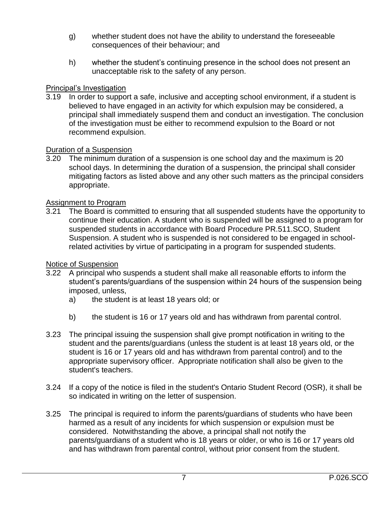- g) whether student does not have the ability to understand the foreseeable consequences of their behaviour; and
- h) whether the student's continuing presence in the school does not present an unacceptable risk to the safety of any person.

## Principal's Investigation

3.19 In order to support a safe, inclusive and accepting school environment, if a student is believed to have engaged in an activity for which expulsion may be considered, a principal shall immediately suspend them and conduct an investigation. The conclusion of the investigation must be either to recommend expulsion to the Board or not recommend expulsion.

## Duration of a Suspension

3.20 The minimum duration of a suspension is one school day and the maximum is 20 school days. In determining the duration of a suspension, the principal shall consider mitigating factors as listed above and any other such matters as the principal considers appropriate.

## Assignment to Program

3.21 The Board is committed to ensuring that all suspended students have the opportunity to continue their education. A student who is suspended will be assigned to a program for suspended students in accordance with Board Procedure PR.511.SCO, Student Suspension. A student who is suspended is not considered to be engaged in schoolrelated activities by virtue of participating in a program for suspended students.

#### Notice of Suspension

- 3.22 A principal who suspends a student shall make all reasonable efforts to inform the student's parents/guardians of the suspension within 24 hours of the suspension being imposed, unless,
	- a) the student is at least 18 years old; or
	- b) the student is 16 or 17 years old and has withdrawn from parental control.
- 3.23 The principal issuing the suspension shall give prompt notification in writing to the student and the parents/guardians (unless the student is at least 18 years old, or the student is 16 or 17 years old and has withdrawn from parental control) and to the appropriate supervisory officer. Appropriate notification shall also be given to the student's teachers.
- 3.24 If a copy of the notice is filed in the student's Ontario Student Record (OSR), it shall be so indicated in writing on the letter of suspension.
- 3.25 The principal is required to inform the parents/guardians of students who have been harmed as a result of any incidents for which suspension or expulsion must be considered. Notwithstanding the above, a principal shall not notify the parents/guardians of a student who is 18 years or older, or who is 16 or 17 years old and has withdrawn from parental control, without prior consent from the student.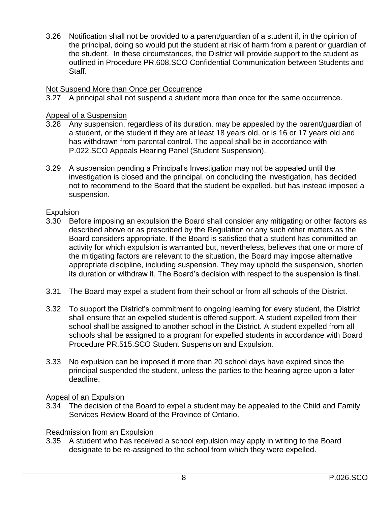3.26 Notification shall not be provided to a parent/guardian of a student if, in the opinion of the principal, doing so would put the student at risk of harm from a parent or guardian of the student. In these circumstances, the District will provide support to the student as outlined in Procedure PR.608.SCO Confidential Communication between Students and Staff.

#### Not Suspend More than Once per Occurrence

3.27 A principal shall not suspend a student more than once for the same occurrence.

#### Appeal of a Suspension

- 3.28 Any suspension, regardless of its duration, may be appealed by the parent/guardian of a student, or the student if they are at least 18 years old, or is 16 or 17 years old and has withdrawn from parental control. The appeal shall be in accordance with P.022.SCO Appeals Hearing Panel (Student Suspension).
- 3.29 A suspension pending a Principal's Investigation may not be appealed until the investigation is closed and the principal, on concluding the investigation, has decided not to recommend to the Board that the student be expelled, but has instead imposed a suspension.

#### **Expulsion**

- 3.30 Before imposing an expulsion the Board shall consider any mitigating or other factors as described above or as prescribed by the Regulation or any such other matters as the Board considers appropriate. If the Board is satisfied that a student has committed an activity for which expulsion is warranted but, nevertheless, believes that one or more of the mitigating factors are relevant to the situation, the Board may impose alternative appropriate discipline, including suspension. They may uphold the suspension, shorten its duration or withdraw it. The Board's decision with respect to the suspension is final.
- 3.31 The Board may expel a student from their school or from all schools of the District.
- 3.32 To support the District's commitment to ongoing learning for every student, the District shall ensure that an expelled student is offered support. A student expelled from their school shall be assigned to another school in the District. A student expelled from all schools shall be assigned to a program for expelled students in accordance with Board Procedure PR.515.SCO Student Suspension and Expulsion.
- 3.33 No expulsion can be imposed if more than 20 school days have expired since the principal suspended the student, unless the parties to the hearing agree upon a later deadline.

#### Appeal of an Expulsion

3.34 The decision of the Board to expel a student may be appealed to the Child and Family Services Review Board of the Province of Ontario.

#### Readmission from an Expulsion

3.35 A student who has received a school expulsion may apply in writing to the Board designate to be re-assigned to the school from which they were expelled.